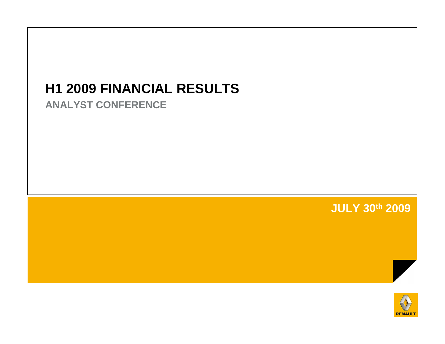# **H1 2009 FINANCIAL RESULTS**

**ANALYST CONFERENCE**

**JULY 30th 2009**

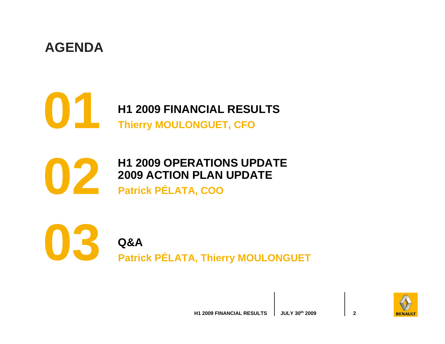### **AGENDA**

**01**

**H1 2009 FINANCIAL RESULTS Thierry MOULONGUET, CFO**

**H1 2009 OPERATIONS UPDATE 2009 ACTION PLAN UPDATE Patrick PÉLATA, COO**



**02**

**Q&A Patrick PÉLATA, Thierry MOULONGUET**

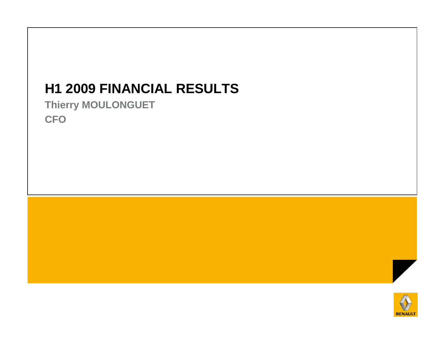# **H1 2009 FINANCIAL RESULTS**

**Thierry MOULONGUETCFO**



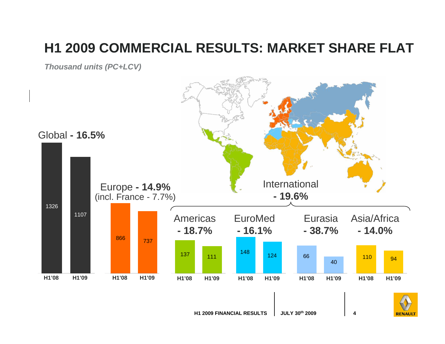## **H1 2009 COMMERCIAL RESULTS: MARKET SHARE FLAT**

**Thousand units (PC+LCV)**

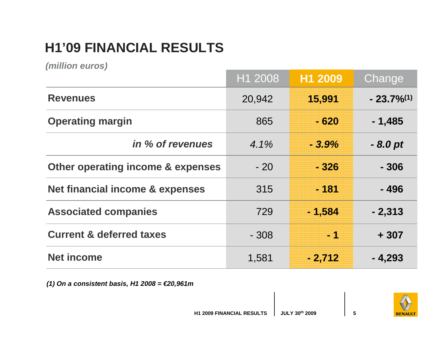# **H1'09 FINANCIAL RESULTS**

**(million euros)**

|                                     | H1 2008 | H1 2009  | Change       |
|-------------------------------------|---------|----------|--------------|
| <b>Revenues</b>                     | 20,942  | 15,991   | $-23.7\%/1)$ |
| <b>Operating margin</b>             | 865     | $-620$   | $-1,485$     |
| in % of revenues                    | $4.1\%$ | $-3.9%$  | $-8.0pt$     |
| Other operating income & expenses   | $-20$   | $-326$   | $-306$       |
| Net financial income & expenses     | 315     | $-181$   | $-496$       |
| <b>Associated companies</b>         | 729     | $-1,584$ | $-2,313$     |
| <b>Current &amp; deferred taxes</b> | $-308$  | $-1$     | $+307$       |
| <b>Net income</b>                   | 1,581   | $-2,712$ | $-4,293$     |

**(1) On a consistent basis, H1 2008 = €20,961m**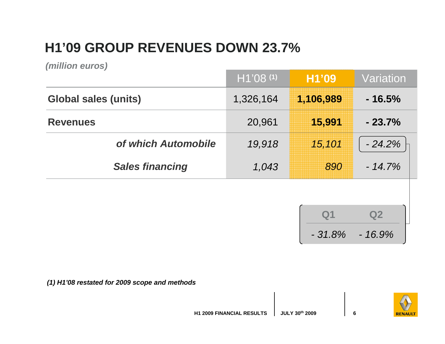# **H1'09 GROUP REVENUES DOWN 23.7%**

**(million euros)**

|                             | $H1'08$ (1) | H1'09       | Variation |
|-----------------------------|-------------|-------------|-----------|
| <b>Global sales (units)</b> | 1,326,164   | 1,106,989   | $-16.5%$  |
| <b>Revenues</b>             | 20,961      | 15,991      | $-23.7%$  |
| of which Automobile         | 19,918      | 15,101      | $-24.2%$  |
| <b>Sales financing</b>      | 1,043       | 890         | $-14.7%$  |
|                             |             |             |           |
|                             |             | ${\bf Q}$ 1 | Q2        |

**(1) H1'08 restated for 2009 scope and methods**



- 31.8% - 16.9%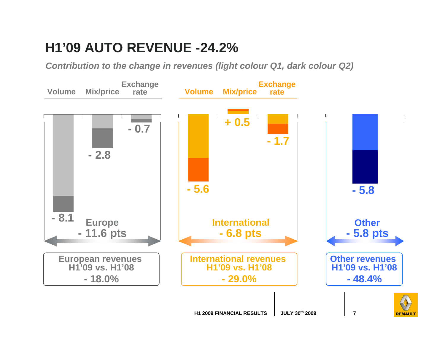### **H1'09 AUTO REVENUE -24.2%**

**Contribution to the change in revenues (light colour Q1, dark colour Q2)**

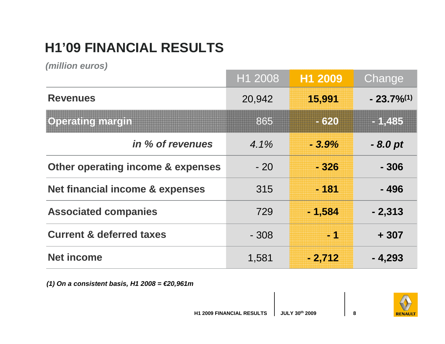# **H1'09 FINANCIAL RESULTS**

**(million euros)**

|                                     | H1 2008 | H1 2009  | Change       |
|-------------------------------------|---------|----------|--------------|
| <b>Revenues</b>                     | 20,942  | 15,991   | $-23.7\%/1)$ |
| <b>Operating margin</b>             | 865     | $-620$   | $-1,485$     |
| in % of revenues                    | 4.1%    | $-3.9%$  | $-8.0pt$     |
| Other operating income & expenses   | $-20$   | - 326    | - 306        |
| Net financial income & expenses     | 315     | $-181$   | - 496        |
| <b>Associated companies</b>         | 729     | $-1,584$ | $-2,313$     |
| <b>Current &amp; deferred taxes</b> | $-308$  | $-1$     | $+307$       |
| <b>Net income</b>                   | 1,581   | $-2,712$ | $-4,293$     |

**(1) On a consistent basis, H1 2008 = €20,961m**

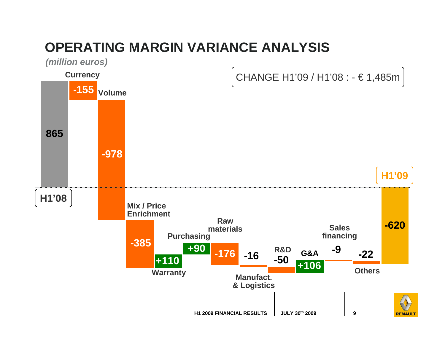## **OPERATING MARGIN VARIANCE ANALYSIS**

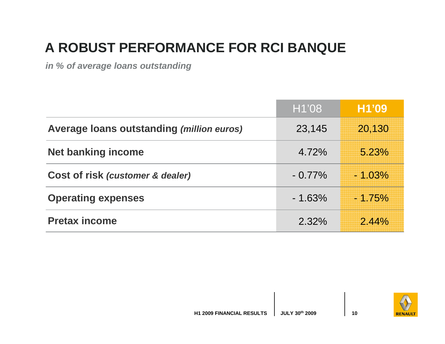# **A ROBUST PERFORMANCE FOR RCI BANQUE**

**in % of average loans outstanding**

|                                           | H1'08     | H1'09    |
|-------------------------------------------|-----------|----------|
| Average loans outstanding (million euros) | 23,145    | 20,130   |
| <b>Net banking income</b>                 | 4.72%     | 5.23%    |
| Cost of risk (customer & dealer)          | $-0.77\%$ | $-1.03%$ |
| <b>Operating expenses</b>                 | $-1.63%$  | $-1.75%$ |
| <b>Pretax income</b>                      | 2.32%     | 2.44%    |

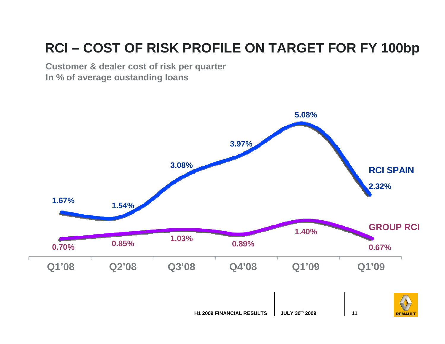# **RCI – COST OF RISK PROFILE ON TARGET FOR FY 100bp**

**Customer & dealer cost of risk per quarterIn % of average oustanding loans**

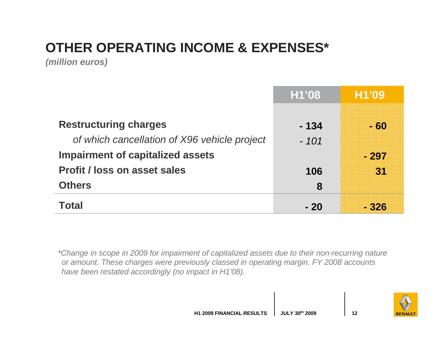# **OTHER OPERATING INCOME & EXPENSES\***

**(million euros)**

|                                              | H1'08  | H1'09  |
|----------------------------------------------|--------|--------|
|                                              |        |        |
| <b>Restructuring charges</b>                 | - 134  | - 60   |
| of which cancellation of X96 vehicle project | $-101$ |        |
| <b>Impairment of capitalized assets</b>      |        | $-297$ |
| <b>Profit / loss on asset sales</b>          | 106    | 31     |
| <b>Others</b>                                | 8      |        |
| <b>Total</b>                                 | - 20   | - 326  |

\*Change in scope in 2009 for impairment of capitalized assets due to their non-recurring nature or amount. These charges were previously classed in operating margin. FY 2008 accounts have been restated accordingly (no impact in H1'08).

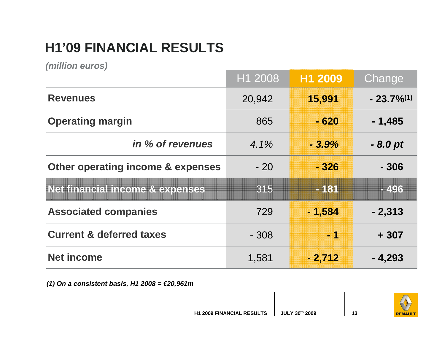# **H1'09 FINANCIAL RESULTS**

**(million euros)**

|                                            | H1 2008 | H1 2009                  | Change       |
|--------------------------------------------|---------|--------------------------|--------------|
| <b>Revenues</b>                            | 20,942  | 15,991                   | $-23.7\%/1)$ |
| <b>Operating margin</b>                    | 865     | - 620                    | $-1,485$     |
| in % of revenues                           | $4.1\%$ | $-3.9%$                  | $-8.0pt$     |
| Other operating income & expenses          | $-20$   | - 326                    | $-306$       |
| <b>Net financial income &amp; expenses</b> | 315     | $-181$                   | -496         |
| <b>Associated companies</b>                | 729     | $-1,584$                 | $-2,313$     |
| <b>Current &amp; deferred taxes</b>        | $-308$  | $\overline{\phantom{a}}$ | $+307$       |
| <b>Net income</b>                          | 1,581   | $-2,712$                 | $-4,293$     |

**(1) On a consistent basis, H1 2008 = €20,961m**

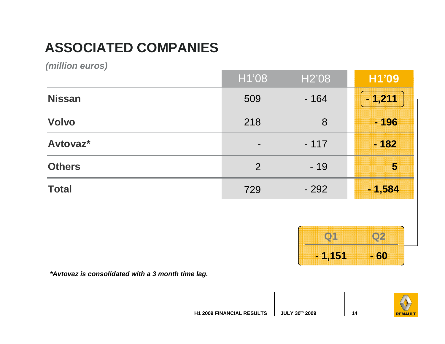# **ASSOCIATED COMPANIES**

**(million euros)**

| $\sqrt{2}$    | H1'08          | H <sub>2</sub> '08 | H1'09          |
|---------------|----------------|--------------------|----------------|
| <b>Nissan</b> | 509            | $-164$             | $-1,211$       |
| <b>Volvo</b>  | 218            | 8                  | $-196$         |
| Avtovaz*      | $\blacksquare$ | $-117$             | $-182$         |
| <b>Others</b> | 2              | $-19$              | $\overline{5}$ |
| <b>Total</b>  | 729            | $-292$             | $-1,584$       |



**\*Avtovaz is consolidated with a 3 month time lag.**

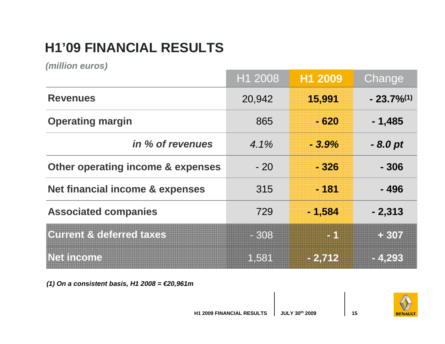# **H1'09 FINANCIAL RESULTS**

**(million euros)**

|                                            | H1 2008 | H1 2009       | Change          |
|--------------------------------------------|---------|---------------|-----------------|
| <b>Revenues</b>                            | 20,942  | 15,991        | $-23.7\%^{(1)}$ |
| <b>Operating margin</b>                    | 865     | - 620         | $-1,485$        |
| in % of revenues                           | $4.1\%$ | $-3.9%$       | $-8.0pt$        |
| Other operating income & expenses          | $-20$   | $-326$        | $-306$          |
| <b>Net financial income &amp; expenses</b> | 315     | $-181$        | $-496$          |
| <b>Associated companies</b>                | 729     | $-1,584$      | $-2,313$        |
| <b>Current &amp; deferred taxes</b>        | $-308$  | <b>EXTEND</b> | + 307           |
| <b>Net income</b>                          | 1,581   | $-2,712$      | $-4,293$        |

**(1) On a consistent basis, H1 2008 = €20,961m**

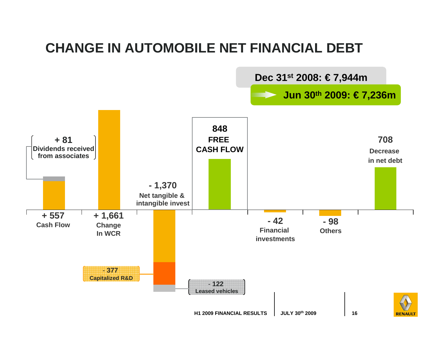### **CHANGE IN AUTOMOBILE NET FINANCIAL DEBT**

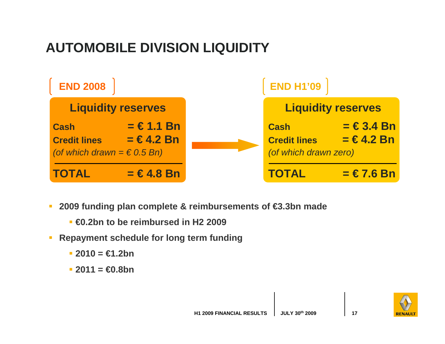# **AUTOMOBILE DIVISION LIQUIDITY**



- **2009 funding plan complete & reimbursements of €3.3bn made**
	- **€0.2bn to be reimbursed in H2 2009**
- $\mathcal{L}_{\mathcal{A}}$  **Repayment schedule for long term funding** 
	- **2010 = €1.2bn**
	- **2011 = €0.8bn**

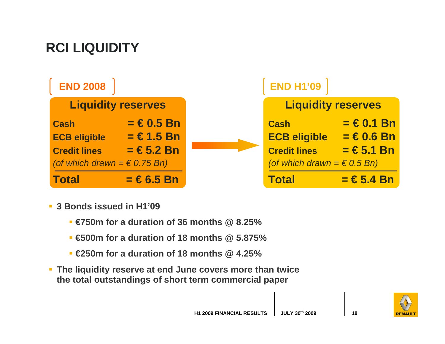# **RCI LIQUIDITY**



- **3 Bonds issued in H1'09**
	- **€750m for a duration of 36 months @ 8.25%**
	- **€500m for a duration of 18 months @ 5.875%**
	- **€250m for a duration of 18 months @ 4.25%**
- **The liquidity reserve at end June covers more than twice the total outstandings of short term commercial paper**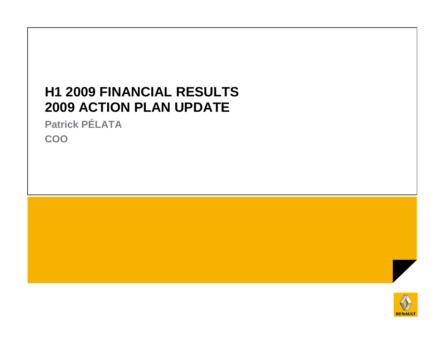### **H1 2009 FINANCIAL RESULTS2009 ACTION PLAN UPDATE**

**Patrick PÉLATACOO**



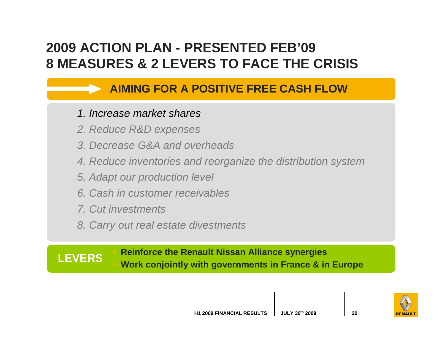## **2009 ACTION PLAN - PRESENTED FEB'098 MEASURES & 2 LEVERS TO FACE THE CRISIS**

### **AIMING FOR A POSITIVE FREE CASH FLOW**

#### 1. Increase market shares

- 2. Reduce R&D expenses
- 3. Decrease G&A and overheads
- 4. Reduce inventories and reorganize the distribution system
- 5. Adapt our production level
- 6. Cash in customer receivables
- 7. Cut investments
- 8. Carry out real estate divestments

### **Reinforce the Renault Nissan Alliance synergiesWork conjointly with governments in France & in Europe LEVERS**

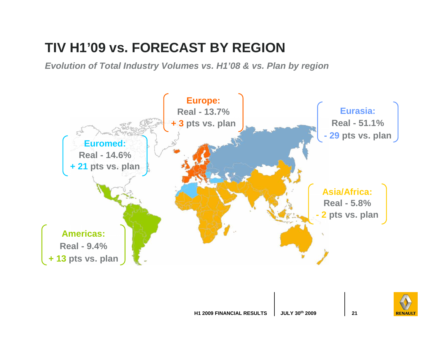## **TIV H1'09 vs. FORECAST BY REGION**

**Evolution of Total Industry Volumes vs. H1'08 & vs. Plan by region**



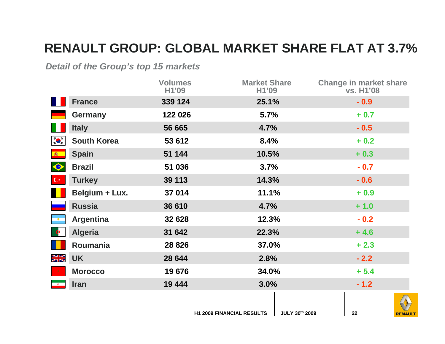### **RENAULT GROUP: GLOBAL MARKET SHARE FLAT AT 3.7%**

#### **Detail of the Group's top 15 markets**

|                                                                                                                                                                                                                                                                                                                                                                                                                                               |                    | <b>Volumes</b><br>H1'09 | <b>Market Share</b><br>H1'09 | <b>Change in market share</b><br>vs. H1'08 |
|-----------------------------------------------------------------------------------------------------------------------------------------------------------------------------------------------------------------------------------------------------------------------------------------------------------------------------------------------------------------------------------------------------------------------------------------------|--------------------|-------------------------|------------------------------|--------------------------------------------|
|                                                                                                                                                                                                                                                                                                                                                                                                                                               | <b>France</b>      | 339 124                 | 25.1%                        | $-0.9$                                     |
|                                                                                                                                                                                                                                                                                                                                                                                                                                               | <b>Germany</b>     | 122 026                 | 5.7%                         | $+0.7$                                     |
|                                                                                                                                                                                                                                                                                                                                                                                                                                               | <b>Italy</b>       | 56 665                  | 4.7%                         | $-0.5$                                     |
| $\begin{array}{c} \mathbf{1}_{\mathbf{1}}\mathbf{1}_{\mathbf{1}}\mathbf{1}_{\mathbf{1}}\mathbf{1}_{\mathbf{1}}\mathbf{1}_{\mathbf{1}}\mathbf{1}_{\mathbf{1}}\mathbf{1}_{\mathbf{1}}\mathbf{1}_{\mathbf{1}}\mathbf{1}_{\mathbf{1}}\mathbf{1}_{\mathbf{1}}\mathbf{1}_{\mathbf{1}}\mathbf{1}_{\mathbf{1}}\mathbf{1}_{\mathbf{1}}\mathbf{1}_{\mathbf{1}}\mathbf{1}_{\mathbf{1}}\mathbf{1}_{\mathbf{1}}\mathbf{1}_{\mathbf{1}}\mathbf{1}_{\mathbf$ | <b>South Korea</b> | 53 612                  | 8.4%                         | $+0.2$                                     |
| (春)                                                                                                                                                                                                                                                                                                                                                                                                                                           | <b>Spain</b>       | 51 144                  | 10.5%                        | $+0.3$                                     |
| $\blacklozenge$                                                                                                                                                                                                                                                                                                                                                                                                                               | <b>Brazil</b>      | 51 036                  | 3.7%                         | $-0.7$                                     |
| $C^*$                                                                                                                                                                                                                                                                                                                                                                                                                                         | <b>Turkey</b>      | 39 113                  | 14.3%                        | $-0.6$                                     |
|                                                                                                                                                                                                                                                                                                                                                                                                                                               | Belgium + Lux.     | 37 014                  | 11.1%                        | $+0.9$                                     |
|                                                                                                                                                                                                                                                                                                                                                                                                                                               | <b>Russia</b>      | 36 610                  | 4.7%                         | $+1.0$                                     |
|                                                                                                                                                                                                                                                                                                                                                                                                                                               | <b>Argentina</b>   | 32 628                  | 12.3%                        | $-0.2$                                     |
|                                                                                                                                                                                                                                                                                                                                                                                                                                               | <b>Algeria</b>     | 31 642                  | 22.3%                        | $+4.6$                                     |
|                                                                                                                                                                                                                                                                                                                                                                                                                                               | Roumania           | 28 8 26                 | 37.0%                        | $+2.3$                                     |
| XK                                                                                                                                                                                                                                                                                                                                                                                                                                            | <b>UK</b>          | 28 644                  | 2.8%                         | $-2.2$                                     |
|                                                                                                                                                                                                                                                                                                                                                                                                                                               | <b>Morocco</b>     | 19676                   | 34.0%                        | $+ 5.4$                                    |
| $\qquad \Phi$                                                                                                                                                                                                                                                                                                                                                                                                                                 | <b>Iran</b>        | 19 444                  | 3.0%                         | $-1.2$                                     |
|                                                                                                                                                                                                                                                                                                                                                                                                                                               |                    |                         |                              |                                            |



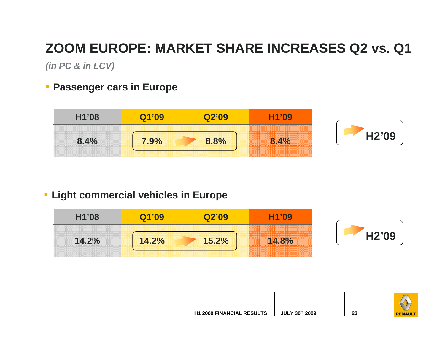# **ZOOM EUROPE: MARKET SHARE INCREASES Q2 vs. Q1**

**(in PC & in LCV)**

**Passenger cars in Europe** 



### **Light commercial vehicles in Europe**

| H1'08 |       |       | '09<br>,,,,,,,,,,,,,,,,,,,,,,,,<br><b>PERSONAL PROPERTY AND INCOME.</b>                                                                                                                                                                                                                                                                                                                                                                                                                                                                                                                                                                                                                 |                    |
|-------|-------|-------|-----------------------------------------------------------------------------------------------------------------------------------------------------------------------------------------------------------------------------------------------------------------------------------------------------------------------------------------------------------------------------------------------------------------------------------------------------------------------------------------------------------------------------------------------------------------------------------------------------------------------------------------------------------------------------------------|--------------------|
| 14.2% | 14.2% | 15.2% | APALAM ARCHIL ARCHIL ARCHIL ARCHIL ARCHI<br>, 609 609 609 609 60<br><b>CONTRACTOR INTO ANOTHER STORY AND</b><br>,,,,,,,,<br><b>STATE REVOLUTION REVOLUTION</b><br>is their track their their their track their their their track their their their their their their than that their<br>is secondary sides sides secondary sides sides secondary sides sides sides sides sides sides secondary sides s<br>,,,,,,,,,<br>nya mya mya taoni mya mya mya taoni mya mya mya taoni mya mya mya taoni mya mya mya mya taoni mya mya<br>09 1009 1009 1009 1009 1009 1009 1009<br>, bas bas bas bas that bas bas bas that has bas bas that bas bas bas that has bas bas bas bas bas bas that bas | H <sub>2</sub> '09 |

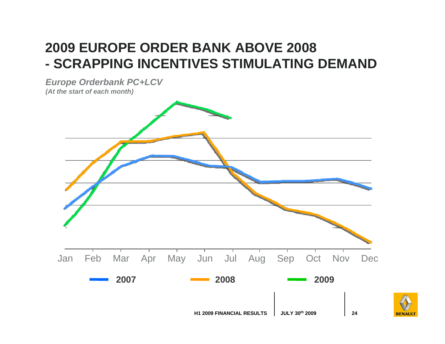#### **2009 EUROPE ORDER BANK ABOVE 2008**- SCRAPPING INCENTIVES STIMULATING  **SCRAPPING INCENTIVES STIMULATING DEMAND**

**Europe Orderbank PC+LCV(At the start of each month)**



**RENAUL**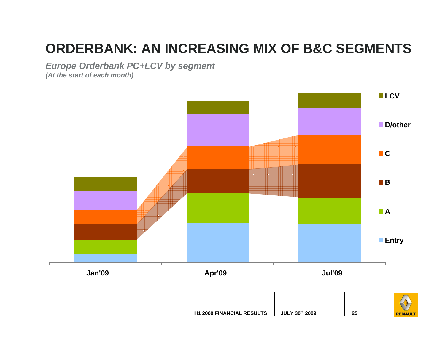# **ORDERBANK: AN INCREASING MIX OF B&C SEGMENTS**

**Europe Orderbank PC+LCV by segment**

**(At the start of each month)**

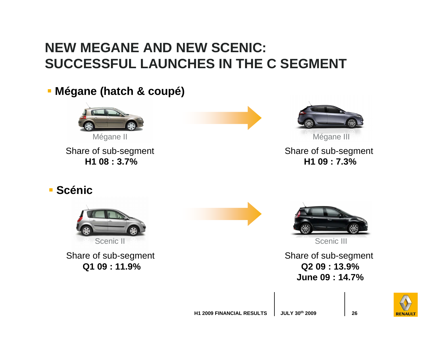## **NEW MEGANE AND NEW SCENIC: SUCCESSFUL LAUNCHES IN THE C SEGMENT**

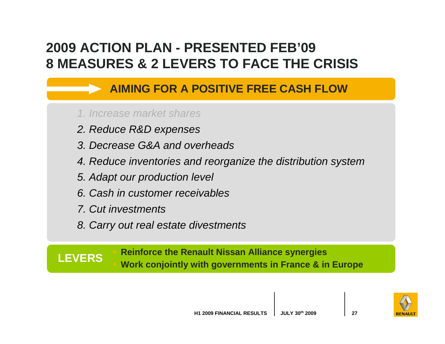## **2009 ACTION PLAN - PRESENTED FEB'098 MEASURES & 2 LEVERS TO FACE THE CRISIS**

### **AIMING FOR A POSITIVE FREE CASH FLOW**

#### 1. Increase market shares

- 2. Reduce R&D expenses
- 3. Decrease G&A and overheads
- 4. Reduce inventories and reorganize the distribution system
- 5. Adapt our production level
- 6. Cash in customer receivables
- 7. Cut investments
- 8. Carry out real estate divestments

### **Reinforce the Renault Nissan Alliance synergiesWork conjointly with governments in France & in Europe LEVERS**

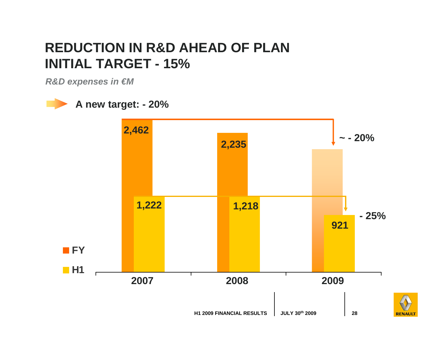### **REDUCTION IN R&D AHEAD OF PLANINITIAL TARGET - 15%**

**R&D expenses in €M**

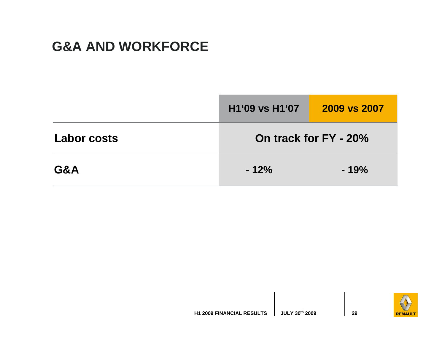### **G&A AND WORKFORCE**

|                    | H <sub>1</sub> '09 vs H <sub>1</sub> '07 | 2009 vs 2007          |
|--------------------|------------------------------------------|-----------------------|
| <b>Labor costs</b> |                                          | On track for FY - 20% |
| G&A                | $-12%$                                   | $-19%$                |

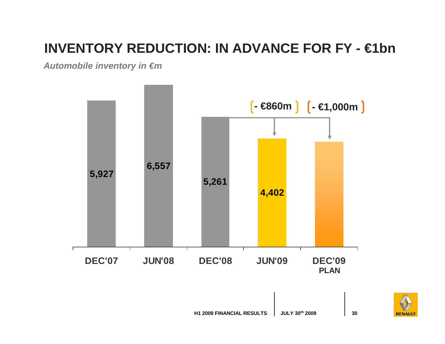# **INVENTORY REDUCTION: IN ADVANCE FOR FY - €1bn**

**Automobile inventory in €m**



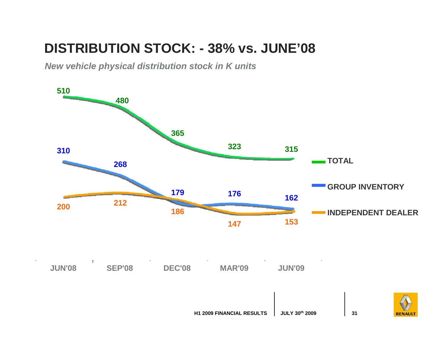### **DISTRIBUTION STOCK: - 38% vs. JUNE'08**

**New vehicle physical distribution stock in K units**



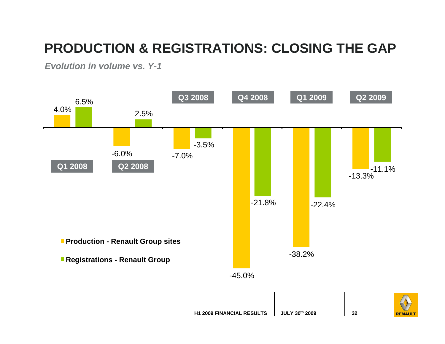# **PRODUCTION & REGISTRATIONS: CLOSING THE GAP**

**Evolution in volume vs. Y-1**

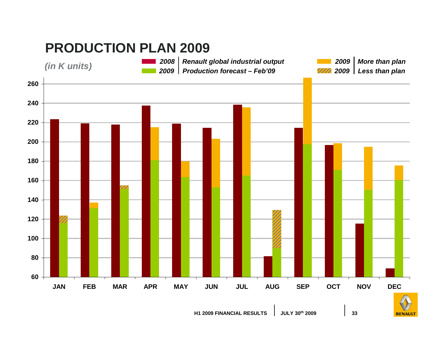### **PRODUCTION PLAN 2009**



 **Renault global industrial outputProduction forecast – Feb'092009 (in K units)**

 **Less than plan More than plan**

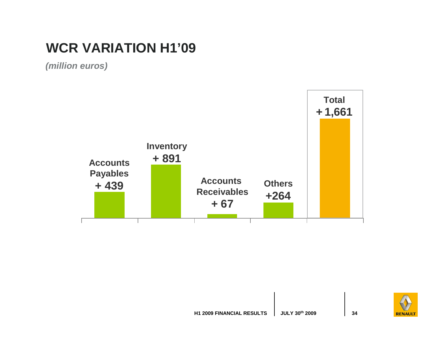## **WCR VARIATION H1'09**

**(million euros)**



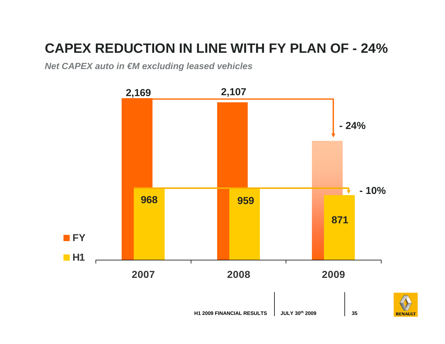# **CAPEX REDUCTION IN LINE WITH FY PLAN OF - 24%**

**Net CAPEX auto in €M excluding leased vehicles**

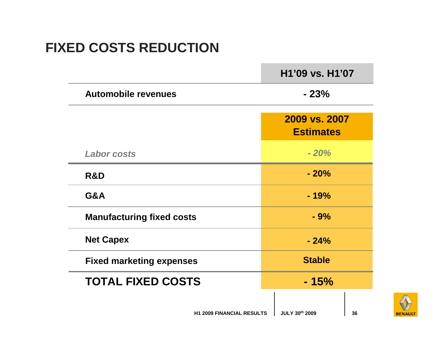### **FIXED COSTS REDUCTION**

|                                  | H1'09 vs. H1'07                   |
|----------------------------------|-----------------------------------|
| <b>Automobile revenues</b>       | $-23%$                            |
|                                  | 2009 vs. 2007<br><b>Estimates</b> |
| <b>Labor costs</b>               | $-20%$                            |
| R&D                              | $-20%$                            |
| G&A                              | $-19%$                            |
| <b>Manufacturing fixed costs</b> | $-9%$                             |
| <b>Net Capex</b>                 | $-24%$                            |
| <b>Fixed marketing expenses</b>  | <b>Stable</b>                     |
| <b>TOTAL FIXED COSTS</b>         | $-15%$                            |
|                                  |                                   |

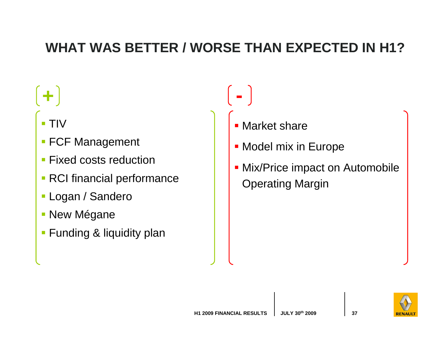### **WHAT WAS BETTER / WORSE THAN EXPECTED IN H1?**

- **+ -**
	- TIV
	- FCF Management
	- Fixed costs reduction
	- RCI financial performance
	- Logan / Sandero
	- **New Mégane**
	- **Funding & liquidity plan**
- **Narket share**
- **Model mix in Europe**
- **Mix/Price impact on Automobile** Operating Margin

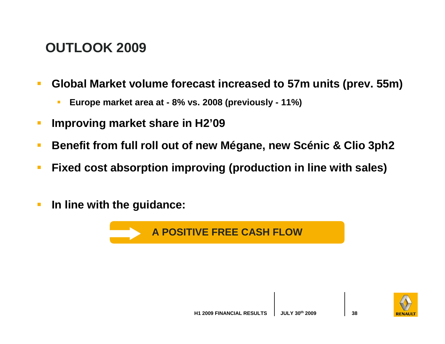### **OUTLOOK 2009**

- $\mathbb{R}^3$  **Global Market volume forecast increased to 57m units (prev. 55m)**
	- Г **Europe market area at - 8% vs. 2008 (previously - 11%)**
- $\mathbb{R}^3$ **Improving market share in H2'09**
- $\blacksquare$ **Benefit from full roll out of new Mégane, new Scénic & Clio 3ph2**
- $\overline{\phantom{a}}$ **Fixed cost absorption improving (production in line with sales)**
- $\overline{\phantom{a}}$ **In line with the guidance:**